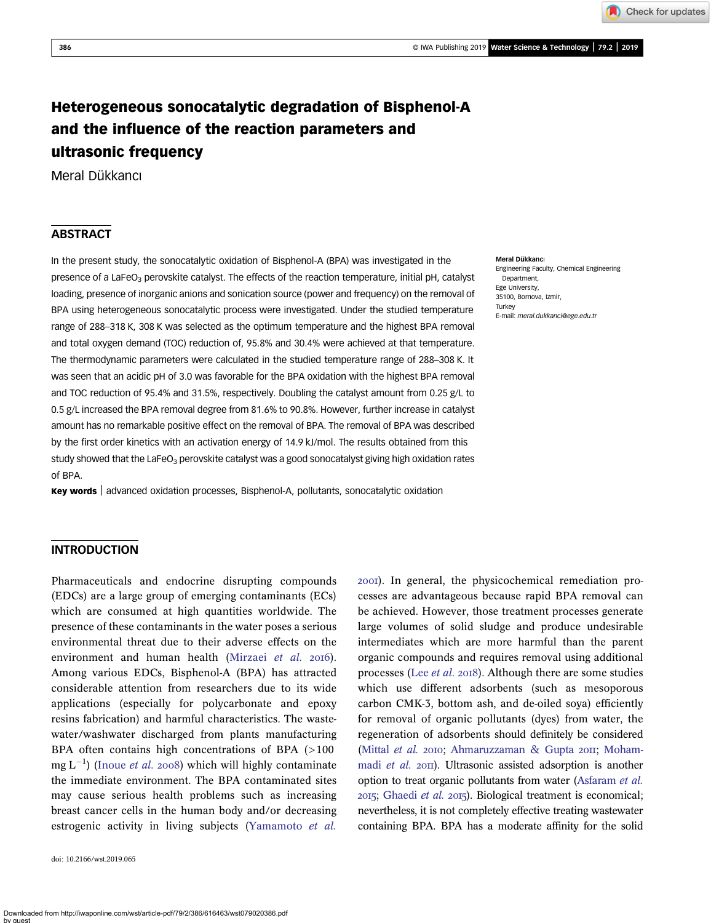Check for updates

# Heterogeneous sonocatalytic degradation of Bisphenol-A and the influence of the reaction parameters and ultrasonic frequency

Meral Dükkancı

## **ABSTRACT**

In the present study, the sonocatalytic oxidation of Bisphenol-A (BPA) was investigated in the presence of a LaFeO<sub>3</sub> perovskite catalyst. The effects of the reaction temperature, initial pH, catalyst loading, presence of inorganic anions and sonication source (power and frequency) on the removal of BPA using heterogeneous sonocatalytic process were investigated. Under the studied temperature range of 288–318 K, 308 K was selected as the optimum temperature and the highest BPA removal and total oxygen demand (TOC) reduction of, 95.8% and 30.4% were achieved at that temperature. The thermodynamic parameters were calculated in the studied temperature range of 288–308 K. It was seen that an acidic pH of 3.0 was favorable for the BPA oxidation with the highest BPA removal and TOC reduction of 95.4% and 31.5%, respectively. Doubling the catalyst amount from 0.25 g/L to 0.5 g/L increased the BPA removal degree from 81.6% to 90.8%. However, further increase in catalyst amount has no remarkable positive effect on the removal of BPA. The removal of BPA was described by the first order kinetics with an activation energy of 14.9 kJ/mol. The results obtained from this study showed that the LaFeO<sub>3</sub> perovskite catalyst was a good sonocatalyst giving high oxidation rates of BPA.

Key words advanced oxidation processes, Bisphenol-A, pollutants, sonocatalytic oxidation

#### Meral Dükkancı

Engineering Faculty, Chemical Engineering Department, Ege University, 35100, Bornova, Izmir, **Turkey** E-mail: [meral.dukkanci@ege.edu.tr](mailto:meral.dukkanci@ege.edu.tr)

#### INTRODUCTION

Pharmaceuticals and endocrine disrupting compounds (EDCs) are a large group of emerging contaminants (ECs) which are consumed at high quantities worldwide. The presence of these contaminants in the water poses a serious environmental threat due to their adverse effects on the environment and human health ([Mirzaei](#page-10-0) et al. 2016). Among various EDCs, Bisphenol-A (BPA) has attracted considerable attention from researchers due to its wide applications (especially for polycarbonate and epoxy resins fabrication) and harmful characteristics. The wastewater/washwater discharged from plants manufacturing BPA often contains high concentrations of BPA (>100 mg  $L^{-1}$ ) ([Inoue](#page-10-0) *et al.* 2008) which will highly contaminate the immediate environment. The BPA contaminated sites may cause serious health problems such as increasing breast cancer cells in the human body and/or decreasing estrogenic activity in living subjects ([Yamamoto](#page-11-0) et al.

doi: 10.2166/wst.2019.065

). In general, the physicochemical remediation processes are advantageous because rapid BPA removal can be achieved. However, those treatment processes generate large volumes of solid sludge and produce undesirable intermediates which are more harmful than the parent organic compounds and requires removal using additional processes (Lee *[et al.](#page-10-0)* 2018). Although there are some studies which use different adsorbents (such as mesoporous carbon CMK-3, bottom ash, and de-oiled soya) efficiently for removal of organic pollutants (dyes) from water, the regeneration of adsorbents should definitely be considered [\(Mittal](#page-10-0) et al. 2010; [Ahmaruzzaman & Gupta](#page-9-0) 2011; [Moham](#page-10-0)madi [et al.](#page-10-0) 2011). Ultrasonic assisted adsorption is another option to treat organic pollutants from water [\(Asfaram](#page-9-0) et al. 2015; [Ghaedi](#page-10-0) et al. 2015). Biological treatment is economical; nevertheless, it is not completely effective treating wastewater containing BPA. BPA has a moderate affinity for the solid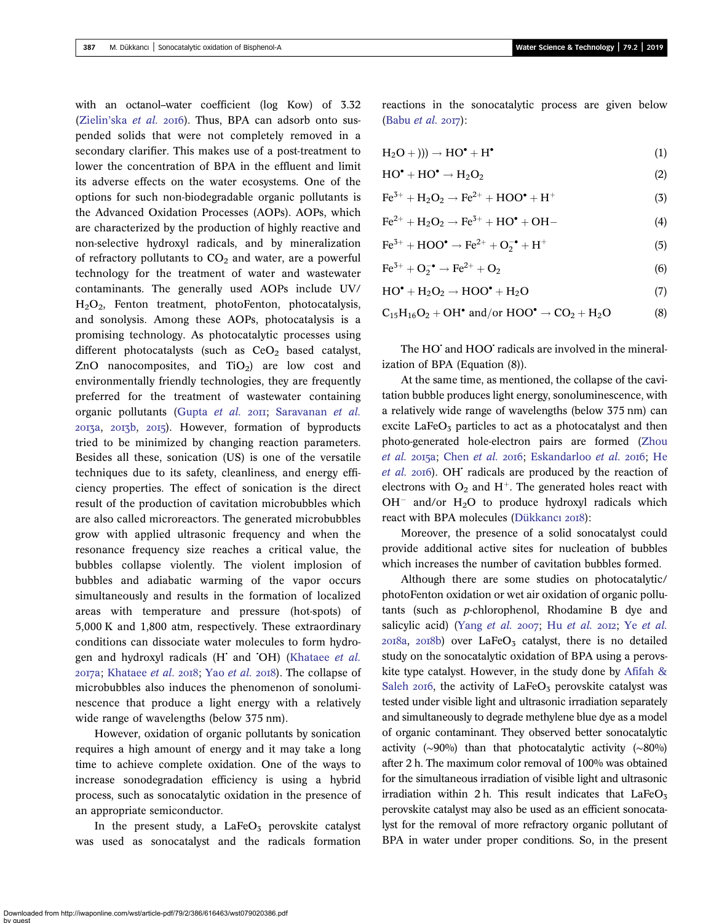with an octanol–water coefficient (log Kow) of 3.32  $(Zielin'ska et al. 20I6)$  $(Zielin'ska et al. 20I6)$ . Thus, BPA can adsorb onto suspended solids that were not completely removed in a secondary clarifier. This makes use of a post-treatment to lower the concentration of BPA in the effluent and limit its adverse effects on the water ecosystems. One of the options for such non-biodegradable organic pollutants is the Advanced Oxidation Processes (AOPs). AOPs, which are characterized by the production of highly reactive and non-selective hydroxyl radicals, and by mineralization of refractory pollutants to  $CO<sub>2</sub>$  and water, are a powerful technology for the treatment of water and wastewater contaminants. The generally used AOPs include UV/ H2O2, Fenton treatment, photoFenton, photocatalysis, and sonolysis. Among these AOPs, photocatalysis is a promising technology. As photocatalytic processes using different photocatalysts (such as  $CeO<sub>2</sub>$  based catalyst, ZnO nanocomposites, and  $TiO<sub>2</sub>$  are low cost and environmentally friendly technologies, they are frequently preferred for the treatment of wastewater containing organic pollutants [\(Gupta](#page-10-0) et al. 2011; [Saravanan](#page-10-0) et al. 2013a, 2013b, 2015). However, formation of byproducts tried to be minimized by changing reaction parameters. Besides all these, sonication (US) is one of the versatile techniques due to its safety, cleanliness, and energy efficiency properties. The effect of sonication is the direct result of the production of cavitation microbubbles which are also called microreactors. The generated microbubbles grow with applied ultrasonic frequency and when the resonance frequency size reaches a critical value, the bubbles collapse violently. The violent implosion of bubbles and adiabatic warming of the vapor occurs simultaneously and results in the formation of localized areas with temperature and pressure (hot-spots) of 5,000 K and 1,800 atm, respectively. These extraordinary conditions can dissociate water molecules to form hydro-gen and hydroxyl radicals (H<sup>+</sup> and <sup>+</sup>OH) ([Khataee](#page-10-0) et al.  $2017a$ ; [Khataee](#page-10-0) *[et al.](#page-11-0)*  $2018$ ; Yao *et al.*  $2018$ ). The collapse of microbubbles also induces the phenomenon of sonoluminescence that produce a light energy with a relatively wide range of wavelengths (below 375 nm).

However, oxidation of organic pollutants by sonication requires a high amount of energy and it may take a long time to achieve complete oxidation. One of the ways to increase sonodegradation efficiency is using a hybrid process, such as sonocatalytic oxidation in the presence of an appropriate semiconductor.

In the present study, a  $LaFeO<sub>3</sub>$  perovskite catalyst was used as sonocatalyst and the radicals formation reactions in the sonocatalytic process are given below [\(Babu](#page-9-0) et al.  $2017$ ):

$$
H_2O +))) \rightarrow HO^{\bullet} + H^{\bullet} \tag{1}
$$

$$
HO^{\bullet} + HO^{\bullet} \to H_2O_2 \tag{2}
$$

$$
Fe3+ + H2O2 \rightarrow Fe2+ + HOO• + H+
$$
 (3)

$$
Fe^{2+} + H_2O_2 \rightarrow Fe^{3+} + HO^{\bullet} + OH- \tag{4}
$$

$$
Fe^{3+} + HOO^{\bullet} \to Fe^{2+} + O_2^{-\bullet} + H^+ \tag{5}
$$

$$
\text{Fe}^{3+} + \text{O}_2^{-} \rightarrow \text{Fe}^{2+} + \text{O}_2 \tag{6}
$$

$$
HO^{\bullet} + H_2O_2 \rightarrow HOO^{\bullet} + H_2O \tag{7}
$$

$$
C_{15}H_{16}O_2 + OH^{\bullet} \text{ and/or HOO}^{\bullet} \rightarrow CO_2 + H_2O \tag{8}
$$

The HO<sup>•</sup> and HOO<sup>•</sup> radicals are involved in the mineralization of BPA (Equation (8)).

At the same time, as mentioned, the collapse of the cavitation bubble produces light energy, sonoluminescence, with a relatively wide range of wavelengths (below 375 nm) can excite  $LaFeO<sub>3</sub>$  particles to act as a photocatalyst and then photo-generated hole-electron pairs are formed ([Zhou](#page-11-0) [et al.](#page-11-0) 2015a; [Chen](#page-9-0) et al. 2016; [Eskandarloo](#page-10-0) et al. 2016; [He](#page-10-0)  $et$  al. 2016). OH $\dot{}$  radicals are produced by the reaction of electrons with  $O_2$  and H<sup>+</sup>. The generated holes react with  $OH^-$  and/or  $H_2O$  to produce hydroxyl radicals which react with BPA molecules [\(Dükkanc](#page-10-0)ı 2018):

Moreover, the presence of a solid sonocatalyst could provide additional active sites for nucleation of bubbles which increases the number of cavitation bubbles formed.

Although there are some studies on photocatalytic/ photoFenton oxidation or wet air oxidation of organic pollutants (such as p-chlorophenol, Rhodamine B dye and salicylic acid) (Yang [et al.](#page-11-0) 2007; Hu et al. 2012; Ye et al.  $2018a$ ,  $2018b$ ) over LaFeO<sub>3</sub> catalyst, there is no detailed study on the sonocatalytic oxidation of BPA using a perovskite type catalyst. However, in the study done by [Afifah &](#page-9-0) [Saleh](#page-9-0) 2016, the activity of  $LaFeO<sub>3</sub>$  perovskite catalyst was tested under visible light and ultrasonic irradiation separately and simultaneously to degrade methylene blue dye as a model of organic contaminant. They observed better sonocatalytic activity (∼90%) than that photocatalytic activity (∼80%) after 2 h. The maximum color removal of 100% was obtained for the simultaneous irradiation of visible light and ultrasonic irradiation within 2 h. This result indicates that  $LaFeO<sub>3</sub>$ perovskite catalyst may also be used as an efficient sonocatalyst for the removal of more refractory organic pollutant of BPA in water under proper conditions. So, in the present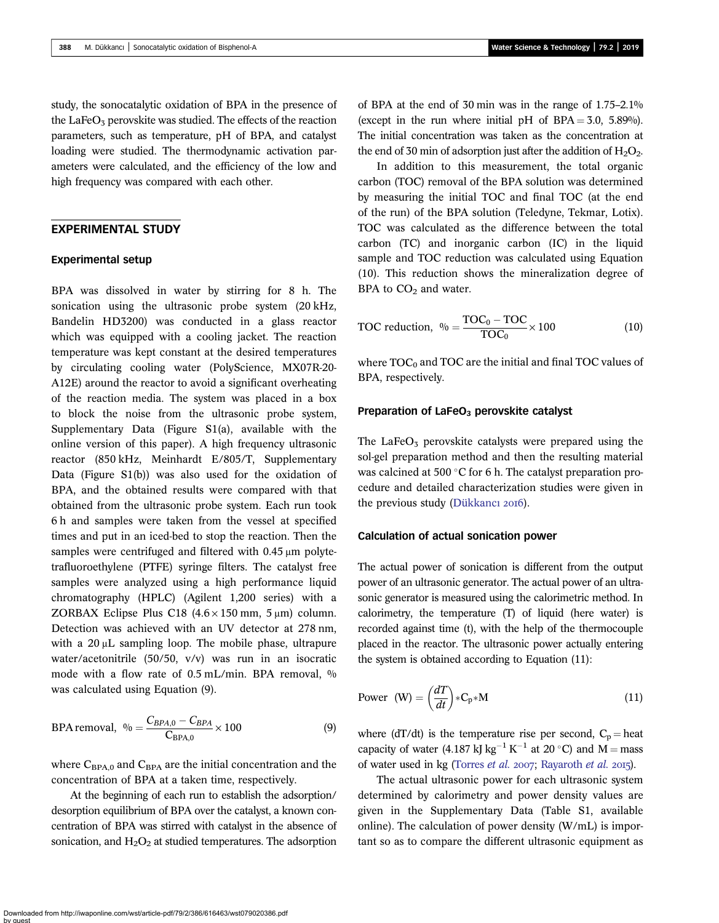study, the sonocatalytic oxidation of BPA in the presence of the LaFeO<sub>3</sub> perovskite was studied. The effects of the reaction parameters, such as temperature, pH of BPA, and catalyst loading were studied. The thermodynamic activation parameters were calculated, and the efficiency of the low and high frequency was compared with each other.

## EXPERIMENTAL STUDY

#### Experimental setup

BPA was dissolved in water by stirring for 8 h. The sonication using the ultrasonic probe system (20 kHz, Bandelin HD3200) was conducted in a glass reactor which was equipped with a cooling jacket. The reaction temperature was kept constant at the desired temperatures by circulating cooling water (PolyScience, MX07R-20- A12E) around the reactor to avoid a significant overheating of the reaction media. The system was placed in a box to block the noise from the ultrasonic probe system, Supplementary Data (Figure S1(a), available with the online version of this paper). A high frequency ultrasonic reactor (850 kHz, Meinhardt E/805/T, Supplementary Data (Figure S1(b)) was also used for the oxidation of BPA, and the obtained results were compared with that obtained from the ultrasonic probe system. Each run took 6 h and samples were taken from the vessel at specified times and put in an iced-bed to stop the reaction. Then the samples were centrifuged and filtered with 0.45 μm polytetrafluoroethylene (PTFE) syringe filters. The catalyst free samples were analyzed using a high performance liquid chromatography (HPLC) (Agilent 1,200 series) with a ZORBAX Eclipse Plus C18  $(4.6 \times 150 \text{ mm}, 5 \mu \text{m})$  column. Detection was achieved with an UV detector at 278 nm, with a 20 μL sampling loop. The mobile phase, ultrapure water/acetonitrile (50/50, v/v) was run in an isocratic mode with a flow rate of 0.5 mL/min. BPA removal, % was calculated using Equation (9).

$$
BPA \text{ removal}, \ \ \frac{\phi_0}{\phi} = \frac{C_{BPA,0} - C_{BPA}}{C_{BPA,0}} \times 100 \tag{9}
$$

where  $C_{\text{BPA},0}$  and  $C_{\text{BPA}}$  are the initial concentration and the concentration of BPA at a taken time, respectively.

At the beginning of each run to establish the adsorption/ desorption equilibrium of BPA over the catalyst, a known concentration of BPA was stirred with catalyst in the absence of sonication, and  $H_2O_2$  at studied temperatures. The adsorption of BPA at the end of 30 min was in the range of 1.75–2.1% (except in the run where initial pH of  $BPA = 3.0$ , 5.89%). The initial concentration was taken as the concentration at the end of 30 min of adsorption just after the addition of  $H_2O_2$ .

In addition to this measurement, the total organic carbon (TOC) removal of the BPA solution was determined by measuring the initial TOC and final TOC (at the end of the run) of the BPA solution (Teledyne, Tekmar, Lotix). TOC was calculated as the difference between the total carbon (TC) and inorganic carbon (IC) in the liquid sample and TOC reduction was calculated using Equation (10). This reduction shows the mineralization degree of BPA to  $CO<sub>2</sub>$  and water.

$$
TOC reduction, \ \ \% = \frac{TOC_0 - TOC}{TOC_0} \times 100 \tag{10}
$$

where  $\text{TOC}_0$  and  $\text{TOC}$  are the initial and final  $\text{TOC}$  values of BPA, respectively.

#### Preparation of LaFeO<sub>3</sub> perovskite catalyst

The LaFe $O_3$  perovskite catalysts were prepared using the sol-gel preparation method and then the resulting material was calcined at 500 $\degree$ C for 6 h. The catalyst preparation procedure and detailed characterization studies were given in the previous study [\(Dükkanc](#page-9-0)ı 2016).

#### Calculation of actual sonication power

The actual power of sonication is different from the output power of an ultrasonic generator. The actual power of an ultrasonic generator is measured using the calorimetric method. In calorimetry, the temperature (T) of liquid (here water) is recorded against time (t), with the help of the thermocouple placed in the reactor. The ultrasonic power actually entering the system is obtained according to Equation (11):

Power (W) = 
$$
\left(\frac{dT}{dt}\right) * C_p * M
$$
 (11)

where (dT/dt) is the temperature rise per second,  $C_p =$  heat capacity of water (4.187 kJ kg<sup>-1</sup> K<sup>-1</sup> at 20 °C) and M = mass of water used in kg ([Torres](#page-10-0) et al. 2007; [Rayaroth](#page-10-0) et al. 2015).

The actual ultrasonic power for each ultrasonic system determined by calorimetry and power density values are given in the Supplementary Data (Table S1, available online). The calculation of power density (W/mL) is important so as to compare the different ultrasonic equipment as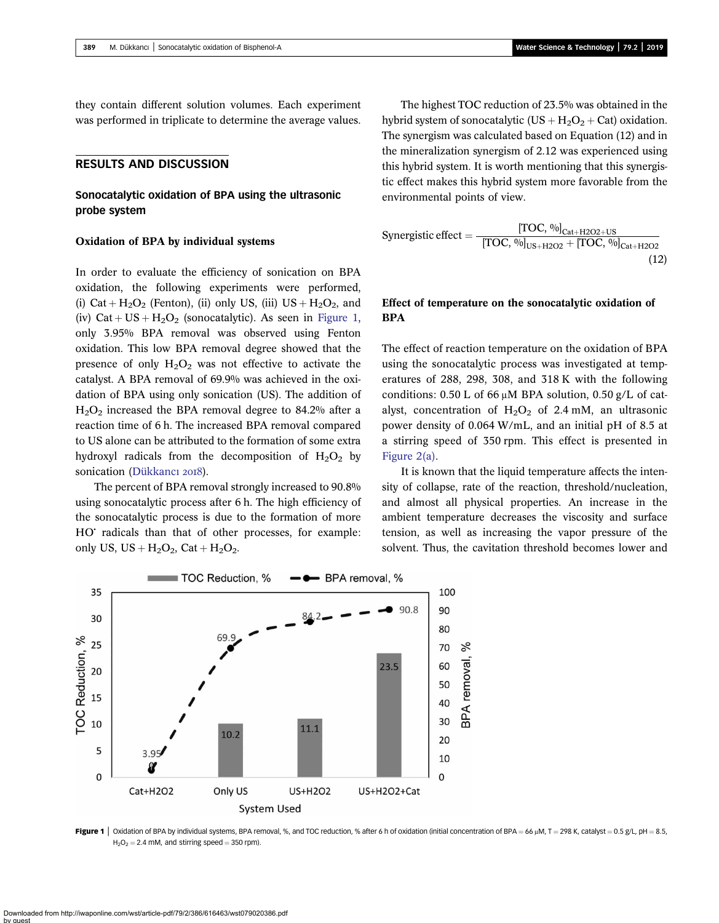they contain different solution volumes. Each experiment was performed in triplicate to determine the average values.

### RESULTS AND DISCUSSION

## Sonocatalytic oxidation of BPA using the ultrasonic probe system

#### Oxidation of BPA by individual systems

In order to evaluate the efficiency of sonication on BPA oxidation, the following experiments were performed, (i) Cat +  $H_2O_2$  (Fenton), (ii) only US, (iii) US +  $H_2O_2$ , and (iv)  $Cat + US + H<sub>2</sub>O<sub>2</sub>$  (sonocatalytic). As seen in Figure 1, only 3.95% BPA removal was observed using Fenton oxidation. This low BPA removal degree showed that the presence of only  $H_2O_2$  was not effective to activate the catalyst. A BPA removal of 69.9% was achieved in the oxidation of BPA using only sonication (US). The addition of  $H<sub>2</sub>O<sub>2</sub>$  increased the BPA removal degree to 84.2% after a reaction time of 6 h. The increased BPA removal compared to US alone can be attributed to the formation of some extra hydroxyl radicals from the decomposition of  $H_2O_2$  by sonication [\(Dükkanc](#page-10-0)ı 2018).

The percent of BPA removal strongly increased to 90.8% using sonocatalytic process after 6 h. The high efficiency of the sonocatalytic process is due to the formation of more HO<sup>•</sup> radicals than that of other processes, for example: only US,  $US + H<sub>2</sub>O<sub>2</sub>$ , Cat +  $H<sub>2</sub>O<sub>2</sub>$ .

The highest TOC reduction of 23.5% was obtained in the hybrid system of sonocatalytic  $(US + H<sub>2</sub>O<sub>2</sub> + Cat)$  oxidation. The synergism was calculated based on Equation (12) and in the mineralization synergism of 2.12 was experienced using this hybrid system. It is worth mentioning that this synergistic effect makes this hybrid system more favorable from the environmental points of view.

$$
\text{Synergistic effect} = \frac{[\text{TOC, } \frac{0}{0}]_{\text{Cat} + \text{H2O2} + \text{US}}}{[\text{TOC, } \frac{0}{0}]_{\text{US} + \text{H2O2}} + [\text{TOC, } \frac{0}{0}]_{\text{Cat} + \text{H2O2}}}
$$
(12)

## Effect of temperature on the sonocatalytic oxidation of BPA

The effect of reaction temperature on the oxidation of BPA using the sonocatalytic process was investigated at temperatures of 288, 298, 308, and 318 K with the following conditions:  $0.50$  L of 66  $\mu$ M BPA solution,  $0.50$  g/L of catalyst, concentration of  $H_2O_2$  of 2.4 mM, an ultrasonic power density of 0.064 W/mL, and an initial pH of 8.5 at a stirring speed of 350 rpm. This effect is presented in [Figure 2\(a\)](#page-4-0).

It is known that the liquid temperature affects the intensity of collapse, rate of the reaction, threshold/nucleation, and almost all physical properties. An increase in the ambient temperature decreases the viscosity and surface tension, as well as increasing the vapor pressure of the solvent. Thus, the cavitation threshold becomes lower and



Figure 1 | Oxidation of BPA by individual systems, BPA removal, %, and TOC reduction, % after 6 h of oxidation (initial concentration of BPA = 66 µM, T = 298 K, catalyst = 0.5 g/L, pH = 8.5,  $H<sub>2</sub>O<sub>2</sub> = 2.4$  mM, and stirring speed = 350 rpm).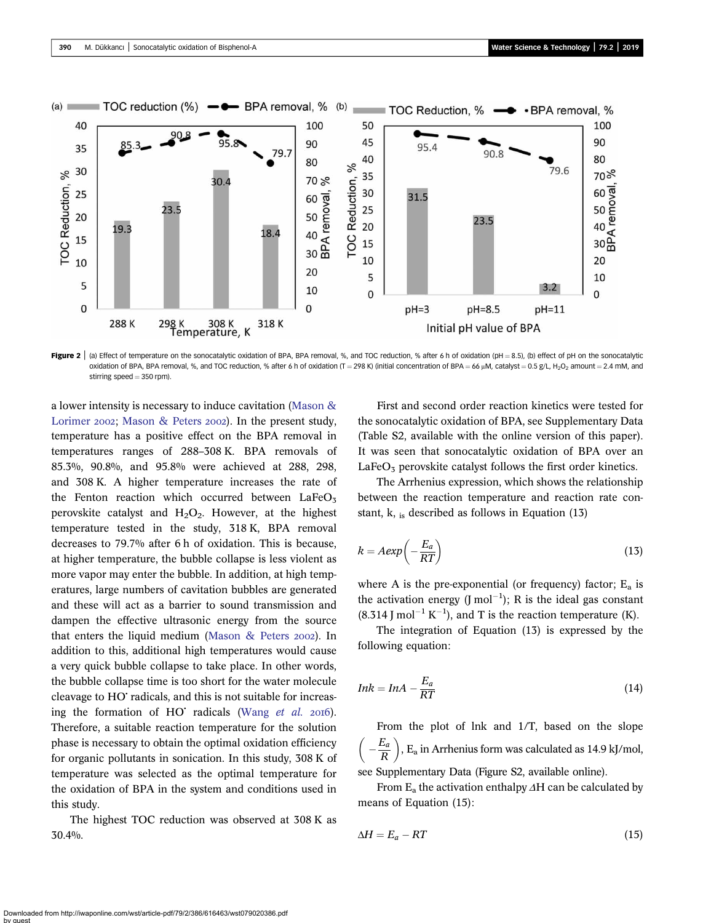<span id="page-4-0"></span>

Figure 2 | (a) Effect of temperature on the sonocatalytic oxidation of BPA, BPA removal, %, and TOC reduction, % after 6 h of oxidation (pH = 8.5), (b) effect of pH on the sonocatalytic oxidation of BPA, BPA removal, %, and TOC reduction, % after 6 h of oxidation (T = 298 K) (initial concentration of BPA = 66 µM, catalyst = 0.5 g/L, H<sub>2</sub>O<sub>2</sub> amount = 2.4 mM, and stirring speed  $=$  350 rpm).

a lower intensity is necessary to induce cavitation [\(Mason &](#page-10-0) [Lorimer](#page-10-0) 2002; [Mason & Peters](#page-10-0) 2002). In the present study, temperature has a positive effect on the BPA removal in temperatures ranges of 288–308 K. BPA removals of 85.3%, 90.8%, and 95.8% were achieved at 288, 298, and 308 K. A higher temperature increases the rate of the Fenton reaction which occurred between  $LaFeO<sub>3</sub>$ perovskite catalyst and  $H_2O_2$ . However, at the highest temperature tested in the study, 318 K, BPA removal decreases to 79.7% after 6 h of oxidation. This is because, at higher temperature, the bubble collapse is less violent as more vapor may enter the bubble. In addition, at high temperatures, large numbers of cavitation bubbles are generated and these will act as a barrier to sound transmission and dampen the effective ultrasonic energy from the source that enters the liquid medium (Mason  $\&$  Peters 2002). In addition to this, additional high temperatures would cause a very quick bubble collapse to take place. In other words, the bubble collapse time is too short for the water molecule cleavage to HO' radicals, and this is not suitable for increasing the formation of  $HO<sup>+</sup>$  radicals [\(Wang](#page-11-0) *et al.* 2016). Therefore, a suitable reaction temperature for the solution phase is necessary to obtain the optimal oxidation efficiency for organic pollutants in sonication. In this study, 308 K of temperature was selected as the optimal temperature for the oxidation of BPA in the system and conditions used in this study.

The highest TOC reduction was observed at 308 K as 30.4%.

First and second order reaction kinetics were tested for the sonocatalytic oxidation of BPA, see Supplementary Data (Table S2, available with the online version of this paper). It was seen that sonocatalytic oxidation of BPA over an  $LaFeO<sub>3</sub>$  perovskite catalyst follows the first order kinetics.

The Arrhenius expression, which shows the relationship between the reaction temperature and reaction rate constant, k,  $_{\text{is}}$  described as follows in Equation (13)

$$
k = A \exp\left(-\frac{E_a}{RT}\right) \tag{13}
$$

where A is the pre-exponential (or frequency) factor;  $E_a$  is the activation energy  $($ J mol<sup>-1</sup> $)$ ; R is the ideal gas constant  $(8.314$  J mol<sup>-1</sup> K<sup>-1</sup>), and T is the reaction temperature (K).

The integration of Equation (13) is expressed by the following equation:

$$
Ink = InA - \frac{E_a}{RT}
$$
\n<sup>(14)</sup>

From the plot of lnk and 1/T, based on the slope  $\left(-\frac{E_a}{R}\right)$ ,  $E_a$  in Arrhenius form was calculated as 14.9 kJ/mol, see Supplementary Data (Figure S2, available online).

From  $E_a$  the activation enthalpy  $\Delta H$  can be calculated by means of Equation (15):

$$
\Delta H = E_a - RT \tag{15}
$$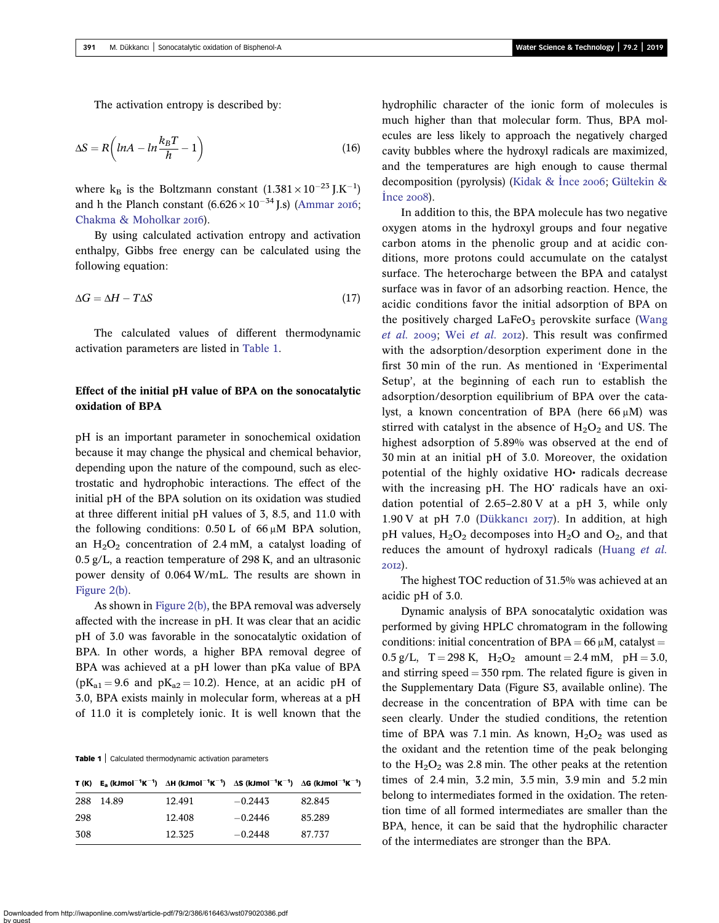The activation entropy is described by:

$$
\Delta S = R \left( lnA - ln \frac{k_B T}{h} - 1 \right) \tag{16}
$$

where  $k_B$  is the Boltzmann constant  $(1.381 \times 10^{-23} )$ . K<sup>-1</sup>) and h the Planch constant  $(6.626 \times 10^{-34} \text{ J.s})$  ([Ammar](#page-9-0) 2016; [Chakma & Moholkar](#page-9-0) 2016).

By using calculated activation entropy and activation enthalpy, Gibbs free energy can be calculated using the following equation:

$$
\Delta G = \Delta H - T\Delta S \tag{17}
$$

The calculated values of different thermodynamic activation parameters are listed in Table 1.

## Effect of the initial pH value of BPA on the sonocatalytic oxidation of BPA

pH is an important parameter in sonochemical oxidation because it may change the physical and chemical behavior, depending upon the nature of the compound, such as electrostatic and hydrophobic interactions. The effect of the initial pH of the BPA solution on its oxidation was studied at three different initial pH values of 3, 8.5, and 11.0 with the following conditions:  $0.50 \text{ L}$  of  $66 \mu \text{M}$  BPA solution, an  $H_2O_2$  concentration of 2.4 mM, a catalyst loading of 0.5 g/L, a reaction temperature of 298 K, and an ultrasonic power density of 0.064 W/mL. The results are shown in [Figure 2\(b\).](#page-4-0)

As shown in [Figure 2\(b\)](#page-4-0), the BPA removal was adversely affected with the increase in pH. It was clear that an acidic pH of 3.0 was favorable in the sonocatalytic oxidation of BPA. In other words, a higher BPA removal degree of BPA was achieved at a pH lower than pKa value of BPA  $(pK_{a1} = 9.6$  and  $pK_{a2} = 10.2)$ . Hence, at an acidic pH of 3.0, BPA exists mainly in molecular form, whereas at a pH of 11.0 it is completely ionic. It is well known that the

Table 1 | Calculated thermodynamic activation parameters

|     |       | $T(K)$ E <sub>a</sub> (kJmol <sup>-1</sup> K <sup>-1</sup> ) $\Delta H$ (kJmol <sup>-1</sup> K <sup>-1</sup> ) $\Delta S$ (kJmol <sup>-1</sup> K <sup>-1</sup> ) $\Delta G$ (kJmol <sup>-1</sup> K <sup>-1</sup> ) |           |        |
|-----|-------|--------------------------------------------------------------------------------------------------------------------------------------------------------------------------------------------------------------------|-----------|--------|
| 288 | 14.89 | 12.491                                                                                                                                                                                                             | $-0.2443$ | 82.845 |
| 298 |       | 12.408                                                                                                                                                                                                             | $-0.2446$ | 85.289 |
| 308 |       | 12.325                                                                                                                                                                                                             | $-0.2448$ | 87.737 |

hydrophilic character of the ionic form of molecules is much higher than that molecular form. Thus, BPA molecules are less likely to approach the negatively charged cavity bubbles where the hydroxyl radicals are maximized, and the temperatures are high enough to cause thermal decomposition (pyrolysis) ([Kidak & I](#page-10-0)nce 2006; [Gültekin &](#page-10-0) İnce 2008).

In addition to this, the BPA molecule has two negative oxygen atoms in the hydroxyl groups and four negative carbon atoms in the phenolic group and at acidic conditions, more protons could accumulate on the catalyst surface. The heterocharge between the BPA and catalyst surface was in favor of an adsorbing reaction. Hence, the acidic conditions favor the initial adsorption of BPA on the positively charged  $LaFeO<sub>3</sub>$  perovskite surface ([Wang](#page-11-0) [et al.](#page-11-0) 2009; Wei et al. 2012). This result was confirmed with the adsorption/desorption experiment done in the first 30 min of the run. As mentioned in 'Experimental Setup', at the beginning of each run to establish the adsorption/desorption equilibrium of BPA over the catalyst, a known concentration of BPA (here  $66 \mu M$ ) was stirred with catalyst in the absence of  $H_2O_2$  and US. The highest adsorption of 5.89% was observed at the end of 30 min at an initial pH of 3.0. Moreover, the oxidation potential of the highly oxidative HO• radicals decrease with the increasing pH. The HO radicals have an oxidation potential of 2.65–2.80 V at a pH 3, while only  $1.90$  V at pH 7.0 ([Dükkanc](#page-9-0)ı 2017). In addition, at high pH values,  $H_2O_2$  decomposes into  $H_2O$  and  $O_2$ , and that reduces the amount of hydroxyl radicals [\(Huang](#page-10-0) et al. 2012).

The highest TOC reduction of 31.5% was achieved at an acidic pH of 3.0.

Dynamic analysis of BPA sonocatalytic oxidation was performed by giving HPLC chromatogram in the following conditions: initial concentration of  $BPA = 66 \mu M$ , catalyst = 0.5 g/L,  $T = 298$  K,  $H_2O_2$  amount = 2.4 mM, pH = 3.0, and stirring speed  $=$  350 rpm. The related figure is given in the Supplementary Data (Figure S3, available online). The decrease in the concentration of BPA with time can be seen clearly. Under the studied conditions, the retention time of BPA was 7.1 min. As known,  $H_2O_2$  was used as the oxidant and the retention time of the peak belonging to the  $H_2O_2$  was 2.8 min. The other peaks at the retention times of 2.4 min, 3.2 min, 3.5 min, 3.9 min and 5.2 min belong to intermediates formed in the oxidation. The retention time of all formed intermediates are smaller than the BPA, hence, it can be said that the hydrophilic character of the intermediates are stronger than the BPA.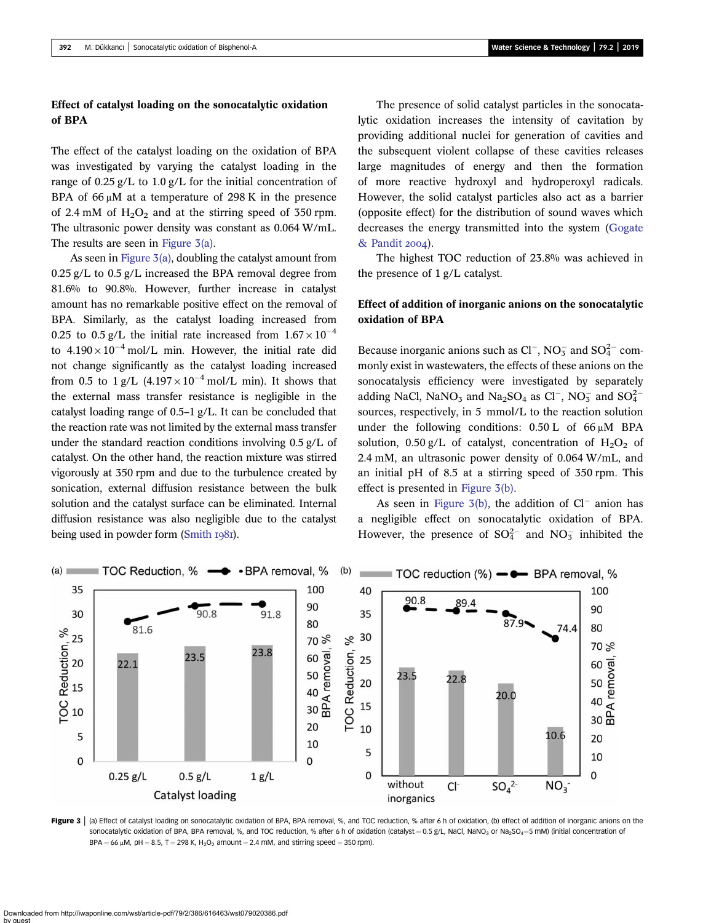## Effect of catalyst loading on the sonocatalytic oxidation of BPA

The effect of the catalyst loading on the oxidation of BPA was investigated by varying the catalyst loading in the range of 0.25 g/L to 1.0 g/L for the initial concentration of BPA of 66 μM at a temperature of 298 K in the presence of 2.4 mM of  $H_2O_2$  and at the stirring speed of 350 rpm. The ultrasonic power density was constant as 0.064 W/mL. The results are seen in Figure 3(a).

As seen in Figure 3(a), doubling the catalyst amount from  $0.25$  g/L to  $0.5$  g/L increased the BPA removal degree from 81.6% to 90.8%. However, further increase in catalyst amount has no remarkable positive effect on the removal of BPA. Similarly, as the catalyst loading increased from 0.25 to 0.5 g/L the initial rate increased from  $1.67 \times 10^{-4}$ to  $4.190 \times 10^{-4}$  mol/L min. However, the initial rate did not change significantly as the catalyst loading increased from 0.5 to  $1 \frac{g}{L}$  (4.197 × 10<sup>-4</sup> mol/L min). It shows that the external mass transfer resistance is negligible in the catalyst loading range of 0.5–1 g/L. It can be concluded that the reaction rate was not limited by the external mass transfer under the standard reaction conditions involving 0.5 g/L of catalyst. On the other hand, the reaction mixture was stirred vigorously at 350 rpm and due to the turbulence created by sonication, external diffusion resistance between the bulk solution and the catalyst surface can be eliminated. Internal diffusion resistance was also negligible due to the catalyst being used in powder form  $(Smith 1981)$  $(Smith 1981)$ .

The presence of solid catalyst particles in the sonocatalytic oxidation increases the intensity of cavitation by providing additional nuclei for generation of cavities and the subsequent violent collapse of these cavities releases large magnitudes of energy and then the formation of more reactive hydroxyl and hydroperoxyl radicals. However, the solid catalyst particles also act as a barrier (opposite effect) for the distribution of sound waves which decreases the energy transmitted into the system [\(Gogate](#page-10-0) [& Pandit](#page-10-0) 2004).

The highest TOC reduction of 23.8% was achieved in the presence of 1 g/L catalyst.

## Effect of addition of inorganic anions on the sonocatalytic oxidation of BPA

Because inorganic anions such as  $Cl^-$ , NO<sub>3</sub> and SO<sub>4</sub><sup>2</sup> commonly exist in wastewaters, the effects of these anions on the sonocatalysis efficiency were investigated by separately adding NaCl, NaNO<sub>3</sub> and Na<sub>2</sub>SO<sub>4</sub> as Cl<sup>-</sup>, NO<sub>3</sub> and SO<sub>4</sub><sup>-</sup> sources, respectively, in 5 mmol/L to the reaction solution under the following conditions:  $0.50 \text{ L}$  of  $66 \mu \text{M}$  BPA solution, 0.50 g/L of catalyst, concentration of  $H_2O_2$  of 2.4 mM, an ultrasonic power density of 0.064 W/mL, and an initial pH of 8.5 at a stirring speed of 350 rpm. This effect is presented in Figure 3(b).

As seen in Figure  $3(b)$ , the addition of  $Cl^-$  anion has a negligible effect on sonocatalytic oxidation of BPA. However, the presence of  $SO_4^{2-}$  and  $NO_3^-$  inhibited the



Figure 3 | (a) Effect of catalyst loading on sonocatalytic oxidation of BPA, BPA removal, %, and TOC reduction, % after 6 h of oxidation, (b) effect of addition of inorganic anions on the sonocatalytic oxidation of BPA, BPA removal, %, and TOC reduction, % after 6 h of oxidation (catalyst = 0.5 g/L, NaCl, NaNO<sub>3</sub> or Na<sub>2</sub>SO<sub>4</sub> = 5 mM) (initial concentration of  $BPA = 66 \mu M$ , pH = 8.5, T = 298 K, H<sub>2</sub>O<sub>2</sub> amount = 2.4 mM, and stirring speed = 350 rpm).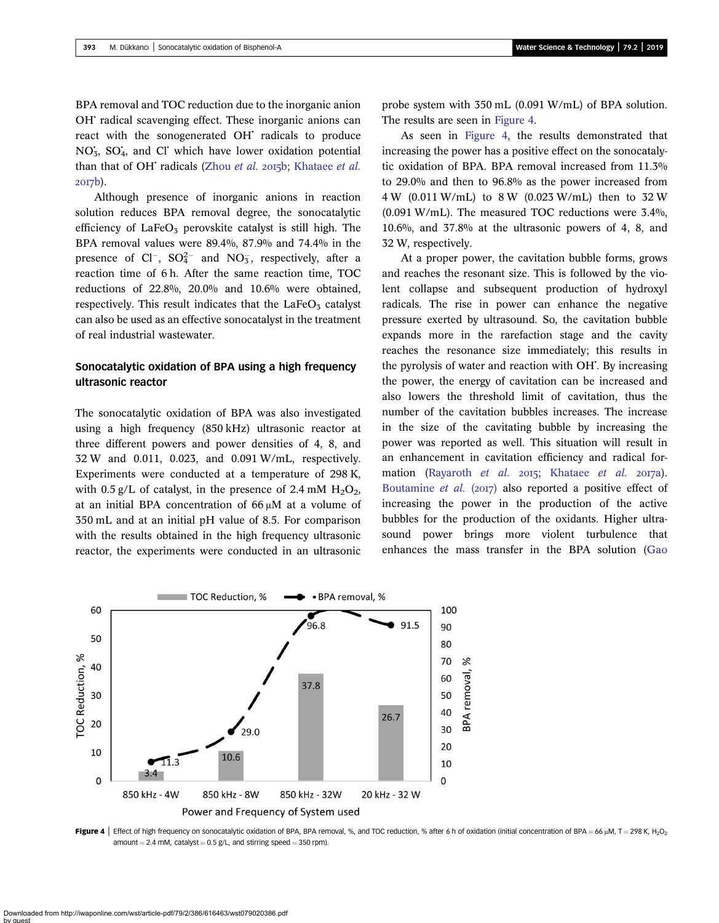<span id="page-7-0"></span>BPA removal and TOC reduction due to the inorganic anion OH<sup>•</sup> radical scavenging effect. These inorganic anions can react with the sonogenerated OH<sup>c</sup> radicals to produce NO<sub>3</sub>, SO<sub>4</sub>, and Cl' which have lower oxidation potential than that of OH $\cdot$  radicals ([Zhou](#page-11-0) et al. 2015b; [Khataee](#page-10-0) et al. 2017b).

Although presence of inorganic anions in reaction solution reduces BPA removal degree, the sonocatalytic efficiency of  $LaFeO<sub>3</sub>$  perovskite catalyst is still high. The BPA removal values were 89.4%, 87.9% and 74.4% in the presence of  $Cl^-$ ,  $SO_4^{2-}$  and  $NO_3^-$ , respectively, after a reaction time of 6 h. After the same reaction time, TOC reductions of 22.8%, 20.0% and 10.6% were obtained, respectively. This result indicates that the  $LaFeO<sub>3</sub>$  catalyst can also be used as an effective sonocatalyst in the treatment of real industrial wastewater.

## Sonocatalytic oxidation of BPA using a high frequency ultrasonic reactor

The sonocatalytic oxidation of BPA was also investigated using a high frequency (850 kHz) ultrasonic reactor at three different powers and power densities of 4, 8, and 32 W and 0.011, 0.023, and 0.091 W/mL, respectively. Experiments were conducted at a temperature of 298 K, with 0.5 g/L of catalyst, in the presence of 2.4 mM  $H_2O_2$ , at an initial BPA concentration of 66 μM at a volume of 350 mL and at an initial pH value of 8.5. For comparison with the results obtained in the high frequency ultrasonic reactor, the experiments were conducted in an ultrasonic probe system with 350 mL (0.091 W/mL) of BPA solution. The results are seen in Figure 4.

As seen in Figure 4, the results demonstrated that increasing the power has a positive effect on the sonocatalytic oxidation of BPA. BPA removal increased from 11.3% to 29.0% and then to 96.8% as the power increased from 4 W (0.011 W/mL) to 8 W (0.023 W/mL) then to 32 W (0.091 W/mL). The measured TOC reductions were 3.4%, 10.6%, and 37.8% at the ultrasonic powers of 4, 8, and 32 W, respectively.

At a proper power, the cavitation bubble forms, grows and reaches the resonant size. This is followed by the violent collapse and subsequent production of hydroxyl radicals. The rise in power can enhance the negative pressure exerted by ultrasound. So, the cavitation bubble expands more in the rarefaction stage and the cavity reaches the resonance size immediately; this results in the pyrolysis of water and reaction with OH<sup>\*</sup>. By increasing the power, the energy of cavitation can be increased and also lowers the threshold limit of cavitation, thus the number of the cavitation bubbles increases. The increase in the size of the cavitating bubble by increasing the power was reported as well. This situation will result in an enhancement in cavitation efficiency and radical for-mation [\(Rayaroth](#page-10-0) et al.  $2015$ ; [Khataee](#page-10-0) et al.  $2017a$ ). [Boutamine](#page-9-0) *et al.* (2017) also reported a positive effect of increasing the power in the production of the active bubbles for the production of the oxidants. Higher ultrasound power brings more violent turbulence that enhances the mass transfer in the BPA solution ([Gao](#page-10-0)



Figure 4 | Effect of high frequency on sonocatalytic oxidation of BPA, BPA removal, %, and TOC reduction, % after 6 h of oxidation (initial concentration of BPA = 66 µM, T = 298 K, H<sub>2</sub>O<sub>2</sub> amount = 2.4 mM, catalyst =  $0.5$  g/L, and stirring speed = 350 rpm).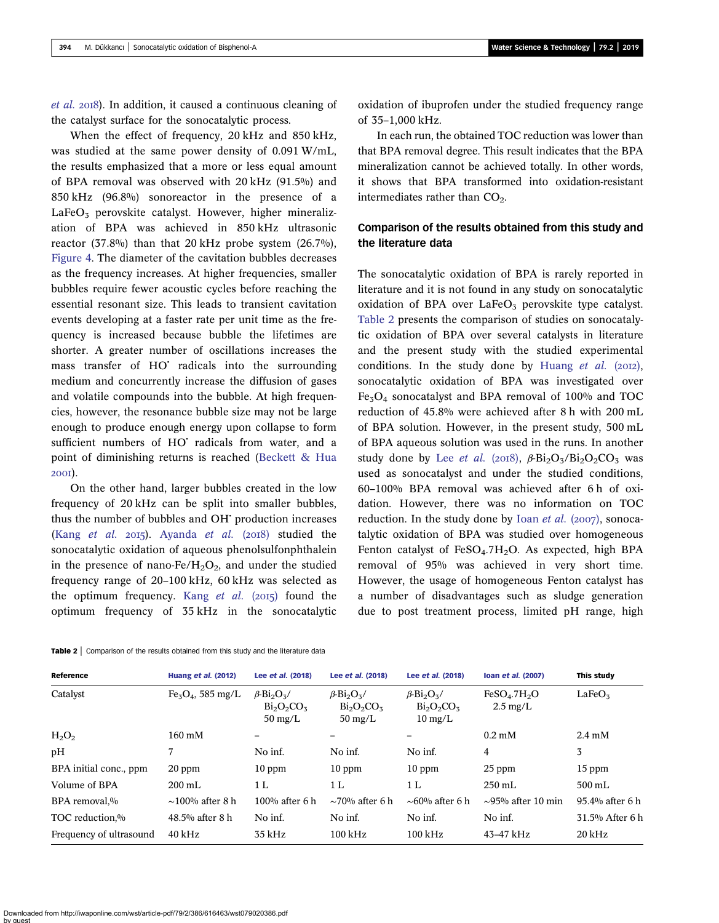[et al.](#page-10-0) 2018). In addition, it caused a continuous cleaning of the catalyst surface for the sonocatalytic process.

When the effect of frequency, 20 kHz and 850 kHz, was studied at the same power density of 0.091 W/mL, the results emphasized that a more or less equal amount of BPA removal was observed with 20 kHz (91.5%) and 850 kHz (96.8%) sonoreactor in the presence of a  $LaFeO<sub>5</sub>$  perovskite catalyst. However, higher mineralization of BPA was achieved in 850 kHz ultrasonic reactor  $(37.8\%)$  than that 20 kHz probe system  $(26.7\%)$ , [Figure 4.](#page-7-0) The diameter of the cavitation bubbles decreases as the frequency increases. At higher frequencies, smaller bubbles require fewer acoustic cycles before reaching the essential resonant size. This leads to transient cavitation events developing at a faster rate per unit time as the frequency is increased because bubble the lifetimes are shorter. A greater number of oscillations increases the mass transfer of HO radicals into the surrounding medium and concurrently increase the diffusion of gases and volatile compounds into the bubble. At high frequencies, however, the resonance bubble size may not be large enough to produce enough energy upon collapse to form sufficient numbers of HO<sup>'</sup> radicals from water, and a point of diminishing returns is reached [\(Beckett & Hua](#page-9-0) 200I).

On the other hand, larger bubbles created in the low frequency of 20 kHz can be split into smaller bubbles, thus the number of bubbles and OH<sup>t</sup> production increases (Kang *[et al.](#page-10-0)* 2015). [Ayanda](#page-9-0) *et al.* (2018) studied the sonocatalytic oxidation of aqueous phenolsulfonphthalein in the presence of nano-Fe/ $H_2O_2$ , and under the studied frequency range of 20–100 kHz, 60 kHz was selected as the optimum frequency. Kang *[et al.](#page-10-0)* ( $2015$ ) found the optimum frequency of 35 kHz in the sonocatalytic oxidation of ibuprofen under the studied frequency range of 35–1,000 kHz.

In each run, the obtained TOC reduction was lower than that BPA removal degree. This result indicates that the BPA mineralization cannot be achieved totally. In other words, it shows that BPA transformed into oxidation-resistant intermediates rather than  $CO<sub>2</sub>$ .

## Comparison of the results obtained from this study and the literature data

The sonocatalytic oxidation of BPA is rarely reported in literature and it is not found in any study on sonocatalytic oxidation of BPA over  $LaFeO<sub>3</sub>$  perovskite type catalyst. Table 2 presents the comparison of studies on sonocatalytic oxidation of BPA over several catalysts in literature and the present study with the studied experimental conditions. In the study done by [Huang](#page-10-0) et al.  $(20I2)$ , sonocatalytic oxidation of BPA was investigated over Fe3O4 sonocatalyst and BPA removal of 100% and TOC reduction of 45.8% were achieved after 8 h with 200 mL of BPA solution. However, in the present study, 500 mL of BPA aqueous solution was used in the runs. In another study done by Lee [et al.](#page-10-0) (2018),  $\beta$ -Bi<sub>2</sub>O<sub>3</sub>/Bi<sub>2</sub>O<sub>2</sub>CO<sub>3</sub> was used as sonocatalyst and under the studied conditions, 60–100% BPA removal was achieved after 6 h of oxidation. However, there was no information on TOC reduction. In the study done by Ioan [et al.](#page-10-0) (2007), sonocatalytic oxidation of BPA was studied over homogeneous Fenton catalyst of  $FeSO<sub>4</sub>$ .7H<sub>2</sub>O. As expected, high BPA removal of 95% was achieved in very short time. However, the usage of homogeneous Fenton catalyst has a number of disadvantages such as sludge generation due to post treatment process, limited pH range, high

| Reference               | <b>Huang et al. (2012)</b> | Lee et al. (2018)                                                                  | Lee et al. (2018)                                                                  | Lee et al. (2018)                                                               | Ioan et al. (2007)                                         | This study         |
|-------------------------|----------------------------|------------------------------------------------------------------------------------|------------------------------------------------------------------------------------|---------------------------------------------------------------------------------|------------------------------------------------------------|--------------------|
| Catalyst                | $Fe3O4$ , 585 mg/L         | $\beta$ -Bi <sub>2</sub> O <sub>3</sub> /<br>$Bi_2O_2CO_3$<br>$50 \,\mathrm{mg/L}$ | $\beta$ -Bi <sub>2</sub> O <sub>3</sub> /<br>$Bi_2O_2CO_3$<br>$50 \,\mathrm{mg/L}$ | $\beta$ -Bi <sub>2</sub> O <sub>3</sub> /<br>$Bi_2O_2CO_3$<br>$10 \text{ mg/L}$ | FeSO <sub>4</sub> .7H <sub>2</sub> O<br>$2.5 \text{ mg/L}$ | LaFeO <sub>3</sub> |
| $H_2O_2$                | $160 \text{ mM}$           |                                                                                    |                                                                                    |                                                                                 | $0.2 \text{ mM}$                                           | $2.4 \text{ mM}$   |
| pН                      |                            | No inf.                                                                            | No inf.                                                                            | No inf.                                                                         | 4                                                          | 3                  |
| BPA initial conc., ppm  | 20 ppm                     | $10$ ppm                                                                           | $10$ ppm                                                                           | $10$ ppm                                                                        | $25$ ppm                                                   | $15$ ppm           |
| Volume of BPA           | $200 \text{ mL}$           | 1 L                                                                                | 1 L                                                                                | 1 <sub>L</sub>                                                                  | $250 \text{ mL}$                                           | $500 \text{ mL}$   |
| BPA removal,%           | $\sim$ 100% after 8 h      | $100\%$ after 6 h                                                                  | $\sim$ 70% after 6 h                                                               | $\sim$ 60% after 6 h                                                            | $\sim$ 95% after 10 min                                    | $95.4\%$ after 6 h |
| TOC reduction,%         | 48.5% after 8 h            | No inf.                                                                            | No inf.                                                                            | No inf.                                                                         | No inf.                                                    | 31.5% After 6 h    |
| Frequency of ultrasound | $40 \mathrm{kHz}$          | 35 kHz                                                                             | $100$ kHz                                                                          | $100 \text{ kHz}$                                                               | 43-47 kHz                                                  | $20$ kHz           |

Table 2 | Comparison of the results obtained from this study and the literature data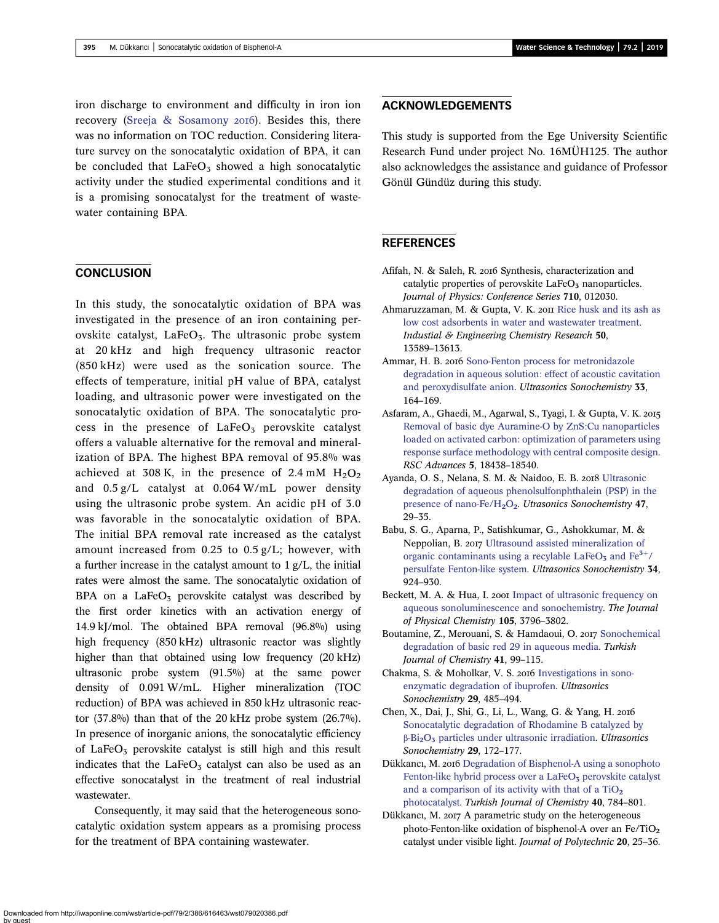<span id="page-9-0"></span>iron discharge to environment and difficulty in iron ion recovery ([Sreeja & Sosamony](#page-10-0) 2016). Besides this, there was no information on TOC reduction. Considering literature survey on the sonocatalytic oxidation of BPA, it can be concluded that  $LaFeO<sub>5</sub>$  showed a high sonocatalytic activity under the studied experimental conditions and it is a promising sonocatalyst for the treatment of wastewater containing BPA.

## **CONCLUSION**

In this study, the sonocatalytic oxidation of BPA was investigated in the presence of an iron containing perovskite catalyst, LaFe $O_3$ . The ultrasonic probe system at 20 kHz and high frequency ultrasonic reactor (850 kHz) were used as the sonication source. The effects of temperature, initial pH value of BPA, catalyst loading, and ultrasonic power were investigated on the sonocatalytic oxidation of BPA. The sonocatalytic process in the presence of  $LaFeO<sub>3</sub>$  perovskite catalyst offers a valuable alternative for the removal and mineralization of BPA. The highest BPA removal of 95.8% was achieved at 308 K, in the presence of 2.4 mM  $H_2O_2$ and 0.5 g/L catalyst at 0.064 W/mL power density using the ultrasonic probe system. An acidic pH of 3.0 was favorable in the sonocatalytic oxidation of BPA. The initial BPA removal rate increased as the catalyst amount increased from 0.25 to 0.5 g/L; however, with a further increase in the catalyst amount to 1 g/L, the initial rates were almost the same. The sonocatalytic oxidation of BPA on a LaFe $O_3$  perovskite catalyst was described by the first order kinetics with an activation energy of 14.9 kJ/mol. The obtained BPA removal (96.8%) using high frequency (850 kHz) ultrasonic reactor was slightly higher than that obtained using low frequency (20 kHz) ultrasonic probe system (91.5%) at the same power density of 0.091 W/mL. Higher mineralization (TOC reduction) of BPA was achieved in 850 kHz ultrasonic reactor (37.8%) than that of the 20 kHz probe system (26.7%). In presence of inorganic anions, the sonocatalytic efficiency of LaFe $O_3$  perovskite catalyst is still high and this result indicates that the LaFe $O_3$  catalyst can also be used as an effective sonocatalyst in the treatment of real industrial wastewater.

Consequently, it may said that the heterogeneous sonocatalytic oxidation system appears as a promising process for the treatment of BPA containing wastewater.

## ACKNOWLEDGEMENTS

This study is supported from the Ege University Scientific Research Fund under project No. 16MÜH125. The author also acknowledges the assistance and guidance of Professor Gönül Gündüz during this study.

### **REFERENCES**

- Afifah, N. & Saleh, R. 2016 Synthesis, characterization and catalytic properties of perovskite LaFeO<sub>3</sub> nanoparticles. Journal of Physics: Conference Series 710, 012030.
- Ahmaruzzaman, M. & Gupta, V. K. 2011 [Rice husk and its ash as](http://dx.doi.org/10.1021/ie201477c) [low cost adsorbents in water and wastewater treatment](http://dx.doi.org/10.1021/ie201477c). Industial & Engineering Chemistry Research 50, 13589–13613.
- Ammar, H. B. 2016 [Sono-Fenton process for metronidazole](http://dx.doi.org/10.1016/j.ultsonch.2016.04.035) [degradation in aqueous solution: effect of acoustic cavitation](http://dx.doi.org/10.1016/j.ultsonch.2016.04.035) [and peroxydisulfate anion.](http://dx.doi.org/10.1016/j.ultsonch.2016.04.035) Ultrasonics Sonochemistry 33, 164–169.
- Asfaram, A., Ghaedi, M., Agarwal, S., Tyagi, I. & Gupta, V. K. [Removal of basic dye Auramine-O by ZnS:Cu nanoparticles](http://dx.doi.org/10.1039/C4RA15637D) [loaded on activated carbon: optimization of parameters using](http://dx.doi.org/10.1039/C4RA15637D) [response surface methodology with central composite design](http://dx.doi.org/10.1039/C4RA15637D). RSC Advances 5, 18438–18540.
- Ayanda, O. S., Nelana, S. M. & Naidoo, E. B. 2018 [Ultrasonic](http://dx.doi.org/10.1016/j.ultsonch.2018.04.012) [degradation of aqueous phenolsulfonphthalein \(PSP\) in the](http://dx.doi.org/10.1016/j.ultsonch.2018.04.012) [presence of nano-Fe/H](http://dx.doi.org/10.1016/j.ultsonch.2018.04.012)<sub>2</sub>[O](http://dx.doi.org/10.1016/j.ultsonch.2018.04.012)<sub>2</sub>. Utrasonics Sonochemistry 47, 29–35.
- Babu, S. G., Aparna, P., Satishkumar, G., Ashokkumar, M. & Neppolian, B. 2017 [Ultrasound assisted mineralization of](http://dx.doi.org/10.1016/j.ultsonch.2016.08.002) organic contaminants using a recylable La[Fe](http://dx.doi.org/10.1016/j.ultsonch.2016.08.002) $O_5$  [and](http://dx.doi.org/10.1016/j.ultsonch.2016.08.002) Fe<sup>3+<[/](http://dx.doi.org/10.1016/j.ultsonch.2016.08.002)sup>/ [persulfate Fenton-like system.](http://dx.doi.org/10.1016/j.ultsonch.2016.08.002) Ultrasonics Sonochemistry 34, 924–930.
- Beckett, M. A. & Hua, I. 2001 [Impact of ultrasonic frequency on](http://dx.doi.org/10.1021/jp003226x) [aqueous sonoluminescence and sonochemistry](http://dx.doi.org/10.1021/jp003226x). The Journal of Physical Chemistry 105, 3796–3802.
- Boutamine, Z., Merouani, S. & Hamdaoui, O. 2017 [Sonochemical](http://dx.doi.org/10.3906/kim-1603-82) [degradation of basic red 29 in aqueous media.](http://dx.doi.org/10.3906/kim-1603-82) Turkish Journal of Chemistry 41, 99–115.
- Chakma, S. & Moholkar, V. S. 2016 [Investigations in sono](http://dx.doi.org/10.1016/j.ultsonch.2015.11.002)[enzymatic degradation of ibuprofen](http://dx.doi.org/10.1016/j.ultsonch.2015.11.002). Ultrasonics Sonochemistry 29, 485–494.
- Chen, X., Dai, J., Shi, G., Li, L., Wang, G. & Yang, H. [Sonocatalytic degradation of Rhodamine B catalyzed by](http://dx.doi.org/10.1016/j.ultsonch.2015.08.010) β[-Bi](http://dx.doi.org/10.1016/j.ultsonch.2015.08.010)2[O](http://dx.doi.org/10.1016/j.ultsonch.2015.08.010)<sup>3</sup> [particles under ultrasonic irradiation.](http://dx.doi.org/10.1016/j.ultsonch.2015.08.010) Ultrasonics Sonochemistry 29, 172–177.
- Dükkancı, M. 2016 [Degradation of Bisphenol-A using a sonophoto](http://dx.doi.org/10.3906/kim-1602-59) [Fenton-like hybrid process over a LaFeO](http://dx.doi.org/10.3906/kim-1602-59)<sub>3</sub> [perovskite catalyst](http://dx.doi.org/10.3906/kim-1602-59) and a comparison of its activity with that of a  $TiO<sub>2</sub>$ [photocatalyst.](http://dx.doi.org/10.3906/kim-1602-59) Turkish Journal of Chemistry 40, 784–801.
- Dükkancı, M. 2017 A parametric study on the heterogeneous photo-Fenton-like oxidation of bisphenol-A over an Fe/TiO<sub>2</sub> catalyst under visible light. Journal of Polytechnic 20, 25–36.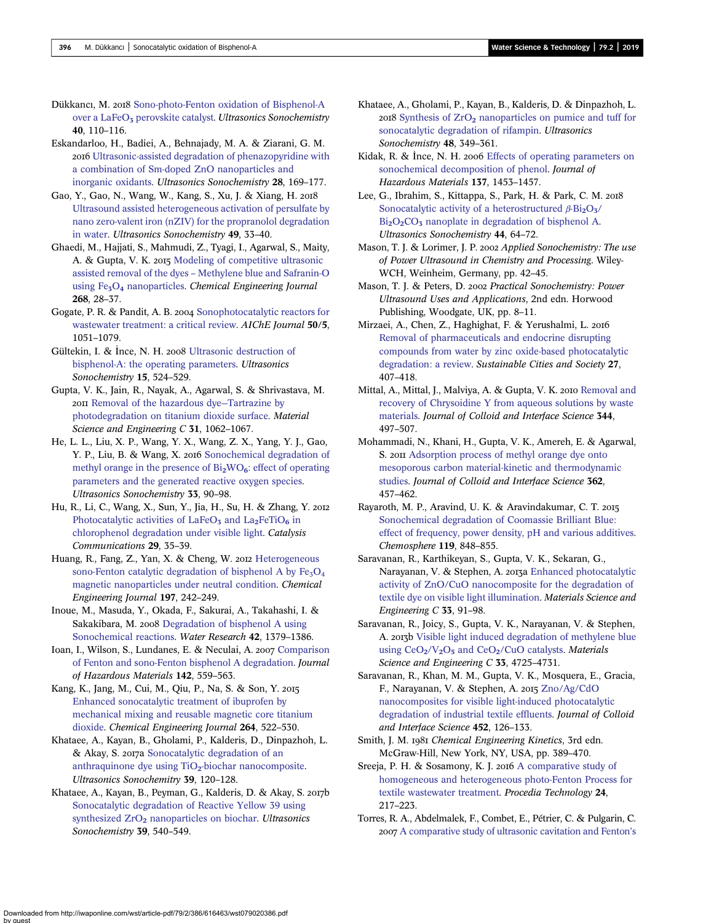<span id="page-10-0"></span>Dükkancı, M. 2018 [Sono-photo-Fenton oxidation of Bisphenol-A](http://dx.doi.org/10.1016/j.ultsonch.2017.04.040) [over a LaFeO](http://dx.doi.org/10.1016/j.ultsonch.2017.04.040)<sub>3</sub> [perovskite catalyst](http://dx.doi.org/10.1016/j.ultsonch.2017.04.040). Ultrasonics Sonochemistry 40, 110–116.

Eskandarloo, H., Badiei, A., Behnajady, M. A. & Ziarani, G. M. [Ultrasonic-assisted degradation of phenazopyridine with](http://dx.doi.org/10.1016/j.ultsonch.2015.07.012) [a combination of Sm-doped ZnO nanoparticles and](http://dx.doi.org/10.1016/j.ultsonch.2015.07.012) [inorganic oxidants.](http://dx.doi.org/10.1016/j.ultsonch.2015.07.012) Ultrasonics Sonochemistry 28, 169–177.

Gao, Y., Gao, N., Wang, W., Kang, S., Xu, J. & Xiang, H. [Ultrasound assisted heterogeneous activation of persulfate by](http://dx.doi.org/10.1016/j.ultsonch.2018.07.001) [nano zero-valent iron \(nZIV\) for the propranolol degradation](http://dx.doi.org/10.1016/j.ultsonch.2018.07.001) [in water](http://dx.doi.org/10.1016/j.ultsonch.2018.07.001). Ultrasonics Sonochemistry 49, 33–40.

Ghaedi, M., Hajjati, S., Mahmudi, Z., Tyagi, I., Agarwal, S., Maity, A. & Gupta, V. K. 2015 [Modeling of competitive ultrasonic](http://dx.doi.org/10.1016/j.cej.2014.12.090) assisted removal of the dyes – [Methylene blue and Safranin-O](http://dx.doi.org/10.1016/j.cej.2014.12.090) using  $Fe<sub>3</sub>O<sub>4</sub>$  $Fe<sub>3</sub>O<sub>4</sub>$  $Fe<sub>3</sub>O<sub>4</sub>$  [nanoparticles](http://dx.doi.org/10.1016/j.cej.2014.12.090). Chemical Engineering Journal 268, 28–37.

Gogate, P. R. & Pandit, A. B. 2004 [Sonophotocatalytic reactors for](http://dx.doi.org/10.1002/aic.10079) [wastewater treatment: a critical review](http://dx.doi.org/10.1002/aic.10079). AIChE Journal 50/5, 1051–1079.

Gültekin, I. & Ince, N. H. 2008 [Ultrasonic destruction of](http://dx.doi.org/10.1016/j.ultsonch.2007.05.005) [bisphenol-A: the operating parameters.](http://dx.doi.org/10.1016/j.ultsonch.2007.05.005) Ultrasonics Sonochemistry 15, 524–529.

Gupta, V. K., Jain, R., Nayak, A., Agarwal, S. & Shrivastava, M. [Removal of the hazardous dye](http://dx.doi.org/10.1016/j.msec.2011.03.006)—Tartrazine by [photodegradation on titanium dioxide surface](http://dx.doi.org/10.1016/j.msec.2011.03.006). Material Science and Engineering C 31, 1062-1067.

He, L. L., Liu, X. P., Wang, Y. X., Wang, Z. X., Yang, Y. J., Gao, Y. P., Liu, B. & Wang, X. 2016 [Sonochemical degradation of](http://dx.doi.org/10.1016/j.ultsonch.2016.04.028) methyl orange in the presence of  $Bi<sub>2</sub>WO<sub>6</sub>$  $Bi<sub>2</sub>WO<sub>6</sub>$  $Bi<sub>2</sub>WO<sub>6</sub>$ [: effect of operating](http://dx.doi.org/10.1016/j.ultsonch.2016.04.028) [parameters and the generated reactive oxygen species](http://dx.doi.org/10.1016/j.ultsonch.2016.04.028). Ultrasonics Sonochemistry 33, 90–98.

Hu, R., Li, C., Wang, X., Sun, Y., Jia, H., Su, H. & Zhang, Y. Photocatalytic activities of LaFe $O_5$  [and La](http://dx.doi.org/10.1016/j.catcom.2012.09.012)<sub>2</sub>[FeTiO](http://dx.doi.org/10.1016/j.catcom.2012.09.012)<sub>6</sub> [in](http://dx.doi.org/10.1016/j.catcom.2012.09.012) [chlorophenol degradation under visible light.](http://dx.doi.org/10.1016/j.catcom.2012.09.012) Catalysis Communications 29, 35–39.

Huang, R., Fang, Z., Yan, X. & Cheng, W. 2012 [Heterogeneous](http://dx.doi.org/10.1016/j.cej.2012.05.035) sono-Fenton catalytic degradation of bisphenol A by  $Fe<sub>3</sub>O<sub>4</sub>$ [magnetic nanoparticles under neutral condition](http://dx.doi.org/10.1016/j.cej.2012.05.035). Chemical Engineering Journal 197, 242–249.

Inoue, M., Masuda, Y., Okada, F., Sakurai, A., Takahashi, I. & Sakakibara, M. 2008 [Degradation of bisphenol A using](http://dx.doi.org/10.1016/j.watres.2007.10.006) [Sonochemical reactions.](http://dx.doi.org/10.1016/j.watres.2007.10.006) Water Research 42, 1379–1386.

Ioan, I., Wilson, S., Lundanes, E. & Neculai, A. 2007 [Comparison](http://dx.doi.org/10.1016/j.jhazmat.2006.08.015) [of Fenton and sono-Fenton bisphenol A degradation.](http://dx.doi.org/10.1016/j.jhazmat.2006.08.015) Journal of Hazardous Materials 142, 559–563.

Kang, K., Jang, M., Cui, M., Qiu, P., Na, S. & Son, Y. [Enhanced sonocatalytic treatment of ibuprofen by](http://dx.doi.org/10.1016/j.cej.2014.10.106) [mechanical mixing and reusable magnetic core titanium](http://dx.doi.org/10.1016/j.cej.2014.10.106) [dioxide.](http://dx.doi.org/10.1016/j.cej.2014.10.106) Chemical Engineering Journal 264, 522–530.

Khataee, A., Kayan, B., Gholami, P., Kalderis, D., Dinpazhoh, L. & Akay, S. 2017a [Sonocatalytic degradation of an](http://dx.doi.org/10.1016/j.ultsonch.2017.04.018) anthraquinone dye using  $TiO<sub>2</sub>$ [-biochar nanocomposite](http://dx.doi.org/10.1016/j.ultsonch.2017.04.018). Ultrasonics Sonochemitry 39, 120–128.

Khataee, A., Kayan, B., Peyman, G., Kalderis, D. & Akay, S. 2017b [Sonocatalytic degradation of Reactive Yellow 39 using](http://dx.doi.org/10.1016/j.ultsonch.2017.05.023) [synthesized ZrO](http://dx.doi.org/10.1016/j.ultsonch.2017.05.023)<sub>2</sub> [nanoparticles on biochar.](http://dx.doi.org/10.1016/j.ultsonch.2017.05.023) Ultrasonics Sonochemistry 39, 540–549.

Khataee, A., Gholami, P., Kayan, B., Kalderis, D. & Dinpazhoh, L. 2018 [Synthesis of ZrO](http://dx.doi.org/10.1016/j.ultsonch.2018.05.008)<sub>2</sub> [nanoparticles on pumice and tuff for](http://dx.doi.org/10.1016/j.ultsonch.2018.05.008) [sonocatalytic degradation of rifampin](http://dx.doi.org/10.1016/j.ultsonch.2018.05.008). Ultrasonics Sonochemistry 48, 349–361.

Kidak, R. & Ince, N. H. 2006 [Effects of operating parameters on](http://dx.doi.org/10.1016/j.jhazmat.2006.04.021) [sonochemical decomposition of phenol](http://dx.doi.org/10.1016/j.jhazmat.2006.04.021). Journal of Hazardous Materials 137, 1453–1457.

Lee, G., Ibrahim, S., Kittappa, S., Park, H. & Park, C. M. [Sonocatalytic activity of a heterostructured](http://dx.doi.org/10.1016/j.ultsonch.2018.02.015)  $β$ -Bi<sub>2</sub>[O](http://dx.doi.org/10.1016/j.ultsonch.2018.02.015)<sub>3<[/](http://dx.doi.org/10.1016/j.ultsonch.2018.02.015)sub>/  $Bi<sub>2</sub>O<sub>2</sub>CO<sub>3</sub>$  $Bi<sub>2</sub>O<sub>2</sub>CO<sub>3</sub>$  $Bi<sub>2</sub>O<sub>2</sub>CO<sub>3</sub>$  $Bi<sub>2</sub>O<sub>2</sub>CO<sub>3</sub>$  $Bi<sub>2</sub>O<sub>2</sub>CO<sub>3</sub>$  $Bi<sub>2</sub>O<sub>2</sub>CO<sub>3</sub>$  [nanoplate in degradation of bisphenol A.](http://dx.doi.org/10.1016/j.ultsonch.2018.02.015) Ultrasonics Sonochemistry 44, 64–72.

Mason, T. J. & Lorimer, J. P. 2002 Applied Sonochemistry: The use of Power Ultrasound in Chemistry and Processing. Wiley-WCH, Weinheim, Germany, pp. 42–45.

Mason, T. J. & Peters, D. 2002 Practical Sonochemistry: Power Ultrasound Uses and Applications, 2nd edn. Horwood Publishing, Woodgate, UK, pp. 8–11.

Mirzaei, A., Chen, Z., Haghighat, F. & Yerushalmi, L. [Removal of pharmaceuticals and endocrine disrupting](http://dx.doi.org/10.1016/j.scs.2016.08.004) [compounds from water by zinc oxide-based photocatalytic](http://dx.doi.org/10.1016/j.scs.2016.08.004) [degradation: a review.](http://dx.doi.org/10.1016/j.scs.2016.08.004) Sustainable Cities and Society 27, 407–418.

Mittal, A., Mittal, J., Malviya, A. & Gupta, V. K. 2010 [Removal and](http://dx.doi.org/10.1016/j.jcis.2010.01.007) [recovery of Chrysoidine Y from aqueous solutions by waste](http://dx.doi.org/10.1016/j.jcis.2010.01.007) [materials](http://dx.doi.org/10.1016/j.jcis.2010.01.007). Journal of Colloid and Interface Science 344, 497–507.

Mohammadi, N., Khani, H., Gupta, V. K., Amereh, E. & Agarwal, S. 2011 [Adsorption process of methyl orange dye onto](http://dx.doi.org/10.1016/j.jcis.2011.06.067) [mesoporous carbon material-kinetic and thermodynamic](http://dx.doi.org/10.1016/j.jcis.2011.06.067) [studies](http://dx.doi.org/10.1016/j.jcis.2011.06.067). Journal of Colloid and Interface Science 362, 457–462.

Rayaroth, M. P., Aravind, U. K. & Aravindakumar, C. T. [Sonochemical degradation of Coomassie Brilliant Blue:](http://dx.doi.org/10.1016/j.chemosphere.2014.08.037) [effect of frequency, power density, pH and various additives](http://dx.doi.org/10.1016/j.chemosphere.2014.08.037). Chemosphere 119, 848–855.

Saravanan, R., Karthikeyan, S., Gupta, V. K., Sekaran, G., Narayanan, V. & Stephen, A. 2013a [Enhanced photocatalytic](http://dx.doi.org/10.1016/j.msec.2012.08.011) [activity of ZnO/CuO nanocomposite for the degradation of](http://dx.doi.org/10.1016/j.msec.2012.08.011) [textile dye on visible light illumination.](http://dx.doi.org/10.1016/j.msec.2012.08.011) Materials Science and Engineering  $C$  33, 91-98.

Saravanan, R., Joicy, S., Gupta, V. K., Narayanan, V. & Stephen, A. a b [Visible light induced degradation of methylene blue](http://dx.doi.org/10.1016/j.msec.2013.07.034) using  $CeO<sub>2</sub>/V<sub>2</sub>O<sub>5</sub>$  $CeO<sub>2</sub>/V<sub>2</sub>O<sub>5</sub>$  $CeO<sub>2</sub>/V<sub>2</sub>O<sub>5</sub>$  $CeO<sub>2</sub>/V<sub>2</sub>O<sub>5</sub>$  $CeO<sub>2</sub>/V<sub>2</sub>O<sub>5</sub>$  and  $CeO<sub>2</sub>/CuO$  catalysts. *Materials* Science and Engineering C 33, 4725-4731.

Saravanan, R., Khan, M. M., Gupta, V. K., Mosquera, E., Gracia, F., Narayanan, V. & Stephen, A. 2015 [Zno/Ag/CdO](http://dx.doi.org/10.1016/j.jcis.2015.04.035) [nanocomposites for visible light-induced photocatalytic](http://dx.doi.org/10.1016/j.jcis.2015.04.035) [degradation of industrial textile effluents](http://dx.doi.org/10.1016/j.jcis.2015.04.035). Journal of Colloid and Interface Science 452, 126–133.

Smith, J. M. 1981 Chemical Engineering Kinetics, 3rd edn. McGraw-Hill, New York, NY, USA, pp. 389–470.

Sreeja, P. H. & Sosamony, K. J. 2016 [A comparative study of](http://dx.doi.org/10.1016/j.protcy.2016.05.065) [homogeneous and heterogeneous photo-Fenton Process for](http://dx.doi.org/10.1016/j.protcy.2016.05.065) [textile wastewater treatment](http://dx.doi.org/10.1016/j.protcy.2016.05.065). Procedia Technology 24, 217–223.

Torres, R. A., Abdelmalek, F., Combet, E., Pétrier, C. & Pulgarin, C. [A comparative study of ultrasonic cavitation and Fenton](http://dx.doi.org/10.1016/j.jhazmat.2007.04.056)'s

Downloaded from http://iwaponline.com/wst/article-pdf/79/2/386/616463/wst079020386.pdf by guest